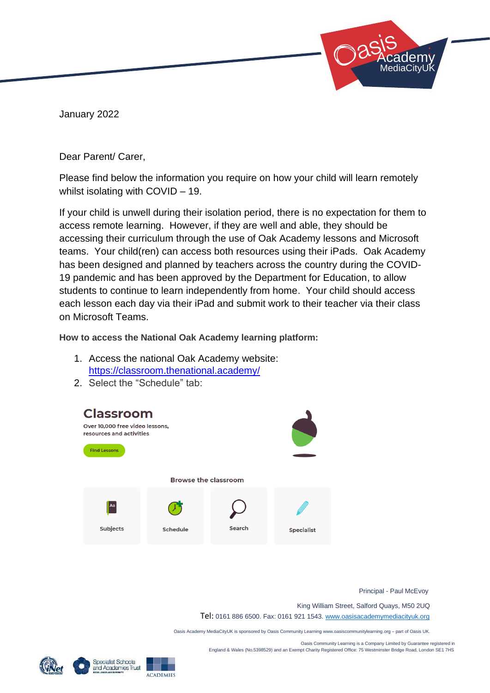January 2022

Dear Parent/ Carer,

Please find below the information you require on how your child will learn remotely whilst isolating with COVID – 19.

If your child is unwell during their isolation period, there is no expectation for them to access remote learning. However, if they are well and able, they should be accessing their curriculum through the use of Oak Academy lessons and Microsoft teams. Your child(ren) can access both resources using their iPads. Oak Academy has been designed and planned by teachers across the country during the COVID-19 pandemic and has been approved by the Department for Education, to allow students to continue to learn independently from home. Your child should access each lesson each day via their iPad and submit work to their teacher via their class on Microsoft Teams.

**How to access the National Oak Academy learning platform:** 

- 1. Access the national Oak Academy website: <https://classroom.thenational.academy/>
- 2. Select the "Schedule" tab:



Principal - Paul McEvoy

 Academy: **ediaCityUk** 

King William Street, Salford Quays, M50 2UQ

Tel: 0161 886 6500. Fax: 0161 921 1543[. www.oasisacademymediacityuk.org](http://www.oasisacademymediacityuk.org/)

Oasis Academy MediaCityUK is sponsored by Oasis Community Learning www.oasiscommunitylearning.org – part of Oasis UK.

 Oasis Community Learning is a Company Limited by Guarantee registered in England & Wales (No.5398529) and an Exempt Charity Registered Office: 75 Westminster Bridge Road, London SE1 7HS



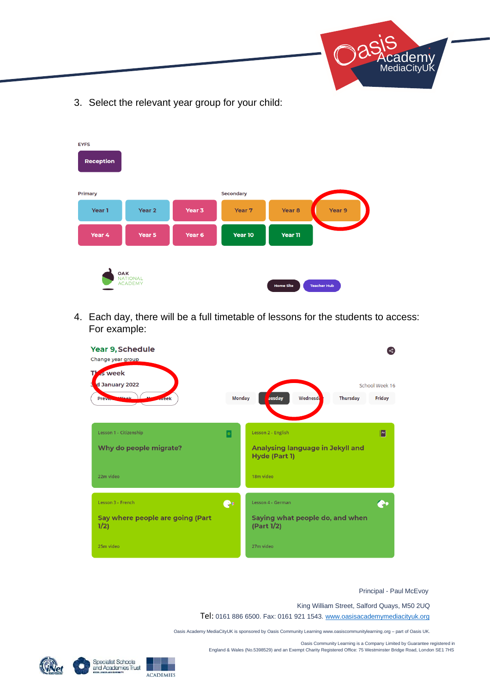

3. Select the relevant year group for your child:

| <b>EYFS</b><br><b>Reception</b>                                                    |                   |        |                  |                   |        |
|------------------------------------------------------------------------------------|-------------------|--------|------------------|-------------------|--------|
| <b>Primary</b>                                                                     |                   |        | <b>Secondary</b> |                   |        |
| Year 1                                                                             | Year <sub>2</sub> | Year 3 | Year 7           | Year <sub>8</sub> | Year 9 |
| Year 4                                                                             | Year 5            | Year 6 | Year 10          | Year 11           |        |
| OAK<br><b>NATIONAL</b><br><b>ACADEMY</b><br><b>Home Site</b><br><b>Teacher Hub</b> |                   |        |                  |                   |        |

4. Each day, there will be a full timetable of lessons for the students to access: For example:



Principal - Paul McEvoy

King William Street, Salford Quays, M50 2UQ

Tel: 0161 886 6500. Fax: 0161 921 1543[. www.oasisacademymediacityuk.org](http://www.oasisacademymediacityuk.org/)

Oasis Academy MediaCityUK is sponsored by Oasis Community Learning www.oasiscommunitylearning.org – part of Oasis UK.

 Oasis Community Learning is a Company Limited by Guarantee registered in England & Wales (No.5398529) and an Exempt Charity Registered Office: 75 Westminster Bridge Road, London SE1 7HS





**ACADEMIES**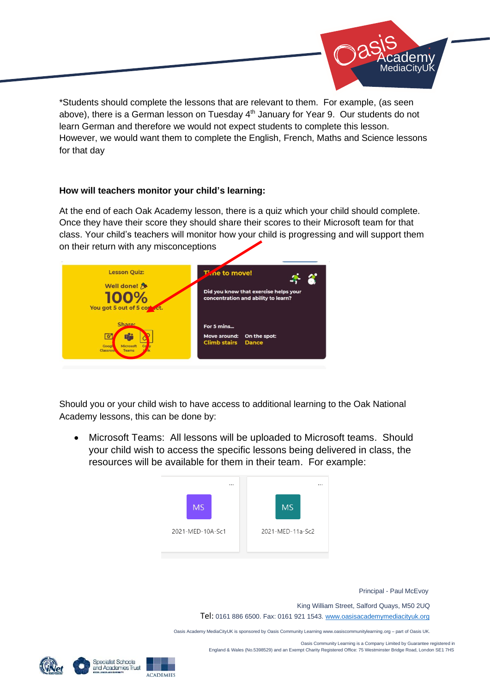

\*Students should complete the lessons that are relevant to them. For example, (as seen above), there is a German lesson on Tuesday 4<sup>th</sup> January for Year 9. Our students do not learn German and therefore we would not expect students to complete this lesson. However, we would want them to complete the English, French, Maths and Science lessons for that day

## **How will teachers monitor your child's learning:**

At the end of each Oak Academy lesson, there is a quiz which your child should complete. Once they have their score they should share their scores to their Microsoft team for that class. Your child's teachers will monitor how your child is progressing and will support them on their return with any misconceptions



Should you or your child wish to have access to additional learning to the Oak National Academy lessons, this can be done by:

• Microsoft Teams: All lessons will be uploaded to Microsoft teams. Should your child wish to access the specific lessons being delivered in class, the resources will be available for them in their team. For example:



Principal - Paul McEvoy

King William Street, Salford Quays, M50 2UQ

Tel: 0161 886 6500. Fax: 0161 921 1543[. www.oasisacademymediacityuk.org](http://www.oasisacademymediacityuk.org/)

Oasis Academy MediaCityUK is sponsored by Oasis Community Learning www.oasiscommunitylearning.org – part of Oasis UK.

 Oasis Community Learning is a Company Limited by Guarantee registered in England & Wales (No.5398529) and an Exempt Charity Registered Office: 75 Westminster Bridge Road, London SE1 7HS





**ACADEMIES**